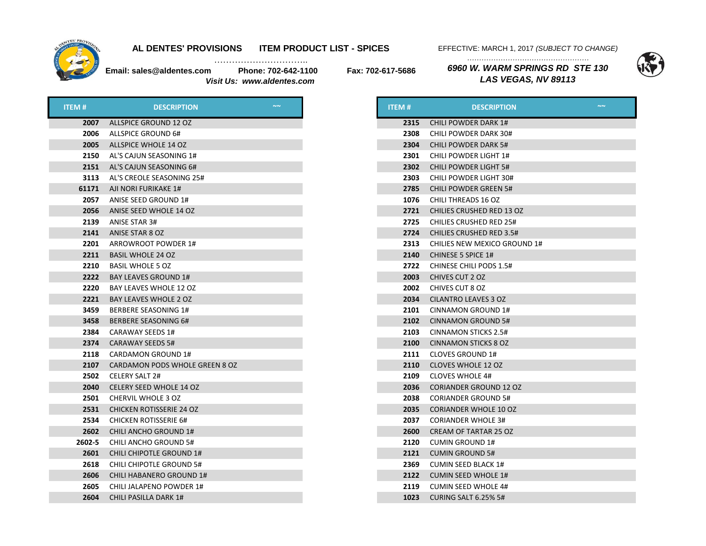

…………………………..

EFFECTIVE: MARCH 1, 2017 *(SUBJECT TO CHANGE) ……………………………………………* 

**Email: sales@aldentes.com Phone: 702-642-1100 Fax: 702-617-5686**  *Visit Us: www.aldentes.com*

*6960 W. WARM SPRINGS RD STE 130 LAS VEGAS, NV 89113*



| <b>ITEM#</b> | <b>DESCRIPTION</b>              | $\sim$ |
|--------------|---------------------------------|--------|
| 2007         | ALLSPICE GROUND 12 OZ           |        |
| 2006         | ALLSPICE GROUND 6#              |        |
| 2005         | ALLSPICE WHOLE 14 OZ            |        |
| 2150         | AL'S CAJUN SEASONING 1#         |        |
| 2151         | AL'S CAJUN SEASONING 6#         |        |
| 3113         | AL'S CREOLE SEASONING 25#       |        |
| 61171        | AJI NORI FURIKAKE 1#            |        |
| 2057         | ANISE SEED GROUND 1#            |        |
| 2056         | ANISE SEED WHOLE 14 OZ          |        |
| 2139         | ANISE STAR 3#                   |        |
| 2141         | ANISE STAR 8 OZ                 |        |
| 2201         | ARROWROOT POWDER 1#             |        |
| 2211         | <b>BASIL WHOLE 24 OZ</b>        |        |
| 2210         | <b>BASIL WHOLE 5 OZ</b>         |        |
| 2222         | <b>BAY LEAVES GROUND 1#</b>     |        |
| 2220         | BAY LEAVES WHOLE 12 OZ          |        |
| 2221         | <b>BAY LEAVES WHOLE 2 OZ</b>    |        |
| 3459         | BERBERE SEASONING 1#            |        |
| 3458         | <b>BERBERE SEASONING 6#</b>     |        |
| 2384         | CARAWAY SEEDS 1#                |        |
| 2374         | CARAWAY SEEDS 5#                |        |
| 2118         | CARDAMON GROUND 1#              |        |
| 2107         | CARDAMON PODS WHOLE GREEN 8 OZ  |        |
| 2502         | CELERY SALT 2#                  |        |
| 2040         | CELERY SEED WHOLE 14 OZ         |        |
| 2501         | <b>CHERVIL WHOLE 3 OZ</b>       |        |
| 2531         | <b>CHICKEN ROTISSERIE 24 OZ</b> |        |
| 2534         | <b>CHICKEN ROTISSERIE 6#</b>    |        |
| 2602         | CHILI ANCHO GROUND 1#           |        |
| 2602-5       | CHILI ANCHO GROUND 5#           |        |
| 2601         | CHILI CHIPOTLE GROUND 1#        |        |
| 2618         | CHILI CHIPOTLE GROUND 5#        |        |
| 2606         | CHILI HABANERO GROUND 1#        |        |
| 2605         | CHILI JALAPENO POWDER 1#        |        |
| 2604         | CHILI PASILLA DARK 1#           |        |

| <b>ITEM#</b> | <b>DESCRIPTION</b>               | $\sim$ $\sim$ |
|--------------|----------------------------------|---------------|
| 2315         | <b>CHILI POWDER DARK 1#</b>      |               |
| 2308         | CHILI POWDER DARK 30#            |               |
| 2304         | <b>CHILI POWDER DARK 5#</b>      |               |
| 2301         | <b>CHILI POWDER LIGHT 1#</b>     |               |
| 2302         | <b>CHILI POWDER LIGHT 5#</b>     |               |
| 2303         | <b>CHILI POWDER LIGHT 30#</b>    |               |
| 2785         | <b>CHILI POWDER GREEN 5#</b>     |               |
| 1076         | CHILI THREADS 16 OZ              |               |
| 2721         | <b>CHILIES CRUSHED RED 13 OZ</b> |               |
| 2725         | <b>CHILIES CRUSHED RED 25#</b>   |               |
| 2724         | <b>CHILIES CRUSHED RED 3.5#</b>  |               |
| 2313         | CHILIES NEW MEXICO GROUND 1#     |               |
| 2140         | <b>CHINESE 5 SPICE 1#</b>        |               |
| 2722         | <b>CHINESE CHILI PODS 1.5#</b>   |               |
| 2003         | CHIVES CUT 2 OZ                  |               |
| 2002         | CHIVES CUT 8 OZ                  |               |
| 2034         | CILANTRO LEAVES 3 OZ             |               |
| 2101         | CINNAMON GROUND 1#               |               |
| 2102         | <b>CINNAMON GROUND 5#</b>        |               |
| 2103         | CINNAMON STICKS 2.5#             |               |
| 2100         | <b>CINNAMON STICKS 8 OZ</b>      |               |
| 2111         | CLOVES GROUND 1#                 |               |
| 2110         | <b>CLOVES WHOLE 12 OZ</b>        |               |
| 2109         | <b>CLOVES WHOLE 4#</b>           |               |
| 2036         | <b>CORIANDER GROUND 12 OZ</b>    |               |
| 2038         | <b>CORIANDER GROUND 5#</b>       |               |
| 2035         | <b>CORIANDER WHOLE 10 OZ</b>     |               |
| 2037         | <b>CORIANDER WHOLE 3#</b>        |               |
| 2600         | CREAM OF TARTAR 25 OZ            |               |
| 2120         | <b>CUMIN GROUND 1#</b>           |               |
| 2121         | <b>CUMIN GROUND 5#</b>           |               |
| 2369         | <b>CUMIN SEED BLACK 1#</b>       |               |
| 2122         | <b>CUMIN SEED WHOLE 1#</b>       |               |
| 2119         | <b>CUMIN SEED WHOLE 4#</b>       |               |
| 1023         | <b>CURING SALT 6.25% 5#</b>      |               |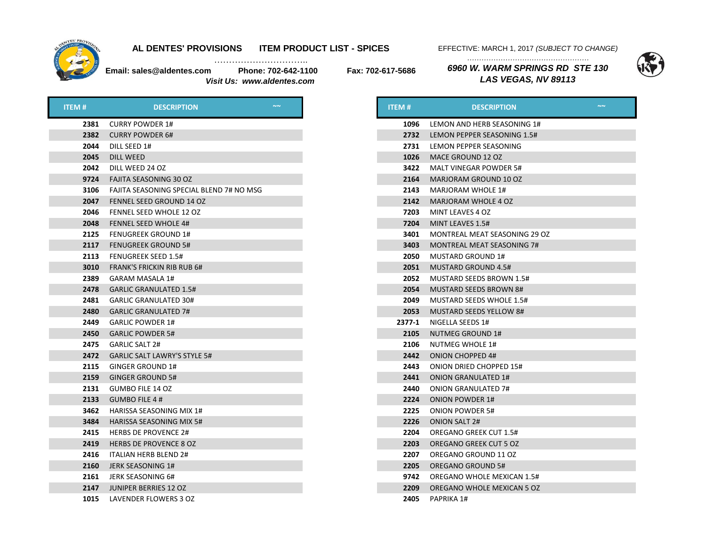

…………………………..

EFFECTIVE: MARCH 1, 2017 *(SUBJECT TO CHANGE) ……………………………………………* 

*LAS VEGAS, NV 89113*

**Email: sales@aldentes.com Phone: 702-642-1100 Fax: 702-617-5686**  *Visit Us: www.aldentes.com*

*6960 W. WARM SPRINGS RD STE 130* 



| <b>ITEM#</b> | <b>DESCRIPTION</b>                       |  |
|--------------|------------------------------------------|--|
| 2381         | <b>CURRY POWDER 1#</b>                   |  |
| 2382         | <b>CURRY POWDER 6#</b>                   |  |
| 2044         | DILL SEED 1#                             |  |
| 2045         | DILL WEED                                |  |
| 2042         | DILL WEED 24 OZ                          |  |
| 9724         | <b>FAJITA SEASONING 30 OZ</b>            |  |
| 3106         | FAJITA SEASONING SPECIAL BLEND 7# NO MSG |  |
| 2047         | FENNEL SEED GROUND 14 OZ                 |  |
| 2046         | FENNEL SEED WHOLE 12 OZ                  |  |
| 2048         | <b>FENNEL SEED WHOLE 4#</b>              |  |
| 2125         | <b>FENUGREEK GROUND 1#</b>               |  |
| 2117         | <b>FENUGREEK GROUND 5#</b>               |  |
| 2113         | <b>FENUGREEK SEED 1.5#</b>               |  |
| 3010         | <b>FRANK'S FRICKIN RIB RUB 6#</b>        |  |
| 2389         | GARAM MASALA 1#                          |  |
| 2478         | <b>GARLIC GRANULATED 1.5#</b>            |  |
| 2481         | <b>GARLIC GRANULATED 30#</b>             |  |
| 2480         | <b>GARLIC GRANULATED 7#</b>              |  |
| 2449         | <b>GARLIC POWDER 1#</b>                  |  |
| 2450         | <b>GARLIC POWDER 5#</b>                  |  |
| 2475         | <b>GARLIC SALT 2#</b>                    |  |
| 2472         | GARLIC SALT LAWRY'S STYLE 5#             |  |
| 2115         | GINGER GROUND 1#                         |  |
| 2159         | <b>GINGER GROUND 5#</b>                  |  |
| 2131         | <b>GUMBO FILE 14 OZ</b>                  |  |
| 2133         | <b>GUMBO FILE 4 #</b>                    |  |
| 3462         | HARISSA SEASONING MIX 1#                 |  |
| 3484         | <b>HARISSA SEASONING MIX 5#</b>          |  |
| 2415         | <b>HERBS DE PROVENCE 2#</b>              |  |
| 2419         | <b>HERBS DE PROVENCE 8 OZ</b>            |  |
| 2416         | <b>ITALIAN HERB BLEND 2#</b>             |  |
| 2160         | JERK SEASONING 1#                        |  |
| 2161         | JERK SEASONING 6#                        |  |
| 2147         | JUNIPER BERRIES 12 OZ                    |  |
| 1015         | LAVENDER FLOWERS 3 OZ                    |  |

| <b>ITEM#</b> | $\sim$<br><b>DESCRIPTION</b>      |
|--------------|-----------------------------------|
| 1096         | LEMON AND HERB SEASONING 1#       |
| 2732         | LEMON PEPPER SEASONING 1.5#       |
| 2731         | LEMON PEPPER SEASONING            |
| 1026         | MACE GROUND 12 OZ                 |
| 3422         | MALT VINEGAR POWDER 5#            |
| 2164         | <b>MARJORAM GROUND 10 OZ</b>      |
| 2143         | <b>MARJORAM WHOLE 1#</b>          |
| 2142         | MARJORAM WHOLE 4 OZ               |
| 7203         | MINT LEAVES 4 OZ                  |
| 7204         | MINT LEAVES 1.5#                  |
| 3401         | MONTREAL MEAT SEASONING 29 OZ     |
| 3403         | <b>MONTREAL MEAT SEASONING 7#</b> |
| 2050         | <b>MUSTARD GROUND 1#</b>          |
| 2051         | <b>MUSTARD GROUND 4.5#</b>        |
| 2052         | <b>MUSTARD SEEDS BROWN 1.5#</b>   |
| 2054         | <b>MUSTARD SEEDS BROWN 8#</b>     |
| 2049         | <b>MUSTARD SEEDS WHOLE 1.5#</b>   |
| 2053         | <b>MUSTARD SEEDS YELLOW 8#</b>    |
| 2377-1       | NIGELLA SEEDS 1#                  |
| 2105         | <b>NUTMEG GROUND 1#</b>           |
| 2106         | <b>NUTMEG WHOLE 1#</b>            |
| 2442         | <b>ONION CHOPPED 4#</b>           |
| 2443         | ONION DRIED CHOPPED 15#           |
| 2441         | <b>ONION GRANULATED 1#</b>        |
| 2440         | <b>ONION GRANULATED 7#</b>        |
| 2224         | <b>ONION POWDER 1#</b>            |
| 2225         | <b>ONION POWDER 5#</b>            |
| 2226         | <b>ONION SALT 2#</b>              |
| 2204         | <b>OREGANO GREEK CUT 1.5#</b>     |
| 2203         | <b>OREGANO GREEK CUT 5 OZ</b>     |
| 2207         | OREGANO GROUND 11 OZ              |
| 2205         | <b>OREGANO GROUND 5#</b>          |
| 9742         | <b>OREGANO WHOLE MEXICAN 1.5#</b> |
| 2209         | OREGANO WHOLE MEXICAN 5 OZ        |
| 2405         | <b>PAPRIKA 1#</b>                 |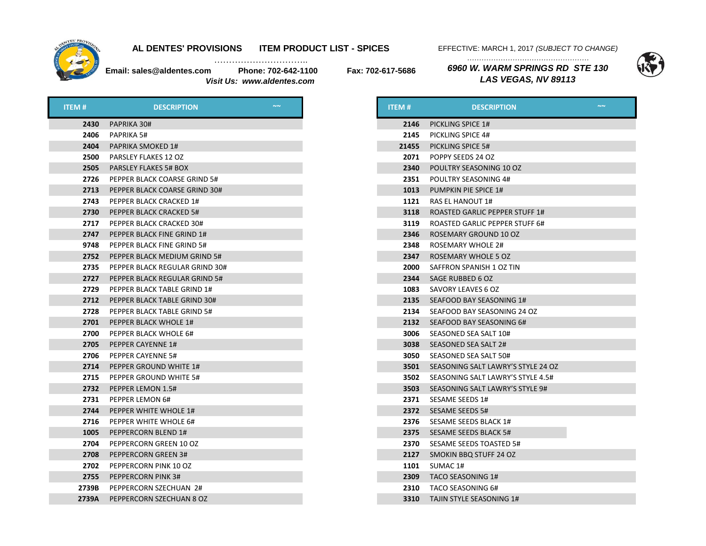

…………………………..

EFFECTIVE: MARCH 1, 2017 *(SUBJECT TO CHANGE)* 

**Email: sales@aldentes.com Phone: 702-642-1100 Fax: 702-617-5686**  *Visit Us: www.aldentes.com*

*…………………………………………… 6960 W. WARM SPRINGS RD STE 130 LAS VEGAS, NV 89113*



| <b>ITEM#</b> | <b>DESCRIPTION</b>             | <b>ITEM#</b> | <b>DESCRIPTION</b>                 |
|--------------|--------------------------------|--------------|------------------------------------|
| 2430         | PAPRIKA 30#                    |              | 2146 PICKLING SPICE 1#             |
| 2406         | PAPRIKA 5#                     | 2145         | <b>PICKLING SPICE 4#</b>           |
| 2404         | <b>PAPRIKA SMOKED 1#</b>       | 21455        | PICKLING SPICE 5#                  |
| 2500         | PARSLEY FLAKES 12 OZ           | 2071         | POPPY SEEDS 24 OZ                  |
| 2505         | <b>PARSLEY FLAKES 5# BOX</b>   | 2340         | POULTRY SEASONING 10 OZ            |
| 2726         | PEPPER BLACK COARSE GRIND 5#   | 2351         | POULTRY SEASONING 4#               |
| 2713         | PEPPER BLACK COARSE GRIND 30#  | 1013         | PUMPKIN PIE SPICE 1#               |
| 2743         | PEPPER BLACK CRACKED 1#        | 1121         | RAS EL HANOUT 1#                   |
| 2730         | PEPPER BLACK CRACKED 5#        | 3118         | ROASTED GARLIC PEPPER STUFF 1#     |
| 2717         | PEPPER BLACK CRACKED 30#       | 3119         | ROASTED GARLIC PEPPER STUFF 6#     |
| 2747         | PEPPER BLACK FINE GRIND 1#     | 2346         | ROSEMARY GROUND 10 OZ              |
| 9748         | PEPPER BLACK FINE GRIND 5#     | 2348         | <b>ROSEMARY WHOLE 2#</b>           |
| 2752         | PEPPER BLACK MEDIUM GRIND 5#   | 2347         | ROSEMARY WHOLE 5 OZ                |
| 2735         | PEPPER BLACK REGULAR GRIND 30# | 2000         | SAFFRON SPANISH 1 OZ TIN           |
| 2727         | PEPPER BLACK REGULAR GRIND 5#  | 2344         | SAGE RUBBED 6 OZ                   |
| 2729         | PEPPER BLACK TABLE GRIND 1#    | 1083         | SAVORY LEAVES 6 OZ                 |
| 2712         | PEPPER BLACK TABLE GRIND 30#   | 2135         | SEAFOOD BAY SEASONING 1#           |
| 2728         | PEPPER BLACK TABLE GRIND 5#    | 2134         | SEAFOOD BAY SEASONING 24 OZ        |
| 2701         | PEPPER BLACK WHOLE 1#          |              | 2132 SEAFOOD BAY SEASONING 6#      |
| 2700         | PEPPER BLACK WHOLE 6#          | 3006         | SEASONED SEA SALT 10#              |
| 2705         | PEPPER CAYENNE 1#              | 3038         | SEASONED SEA SALT 2#               |
| 2706         | PEPPER CAYENNE 5#              | 3050         | SEASONED SEA SALT 50#              |
| 2714         | PEPPER GROUND WHITE 1#         | 3501         | SEASONING SALT LAWRY'S STYLE 24 OZ |
| 2715         | PEPPER GROUND WHITE 5#         | 3502         | SEASONING SALT LAWRY'S STYLE 4.5#  |
| 2732         | PEPPER LEMON 1.5#              | 3503         | SEASONING SALT LAWRY'S STYLE 9#    |
| 2731         | PEPPER LEMON 6#                | 2371         | SESAME SEEDS 1#                    |
| 2744         | PEPPER WHITE WHOLE 1#          |              | 2372 SESAME SEEDS 5#               |
| 2716         | PEPPER WHITE WHOLE 6#          | 2376         | SESAME SEEDS BLACK 1#              |
| 1005         | PEPPERCORN BLEND 1#            | 2375         | SESAME SEEDS BLACK 5#              |
| 2704         | PEPPERCORN GREEN 10 OZ         | 2370         | SESAME SEEDS TOASTED 5#            |
| 2708         | <b>PEPPERCORN GREEN 3#</b>     |              | 2127 SMOKIN BBQ STUFF 24 OZ        |
| 2702         | PEPPERCORN PINK 10 OZ          | 1101         | SUMAC 1#                           |
| 2755         | <b>PEPPERCORN PINK 3#</b>      |              | 2309 TACO SEASONING 1#             |
| 2739B        | PEPPERCORN SZECHUAN 2#         |              | 2310 TACO SEASONING 6#             |
| 2739A        | PEPPERCORN SZECHUAN 8 OZ       |              | 3310 TAJIN STYLE SEASONING 1#      |

| ITEM # | $\sim$ $\sim$<br><b>DESCRIPTION</b>   |
|--------|---------------------------------------|
| 2146   | PICKLING SPICE 1#                     |
| 2145   | PICKLING SPICE 4#                     |
| 21455  | PICKLING SPICE 5#                     |
| 2071   | POPPY SEEDS 24 OZ                     |
| 2340   | POULTRY SEASONING 10 OZ               |
| 2351   | POULTRY SEASONING 4#                  |
| 1013   | PUMPKIN PIE SPICE 1#                  |
| 1121   | <b>RAS EL HANOUT 1#</b>               |
| 3118   | <b>ROASTED GARLIC PEPPER STUFF 1#</b> |
| 3119   | ROASTED GARLIC PEPPER STUFF 6#        |
| 2346   | ROSEMARY GROUND 10 OZ                 |
| 2348   | <b>ROSEMARY WHOLE 2#</b>              |
| 2347   | <b>ROSEMARY WHOLE 5 OZ</b>            |
| 2000   | SAFFRON SPANISH 1 OZ TIN              |
| 2344   | SAGE RUBBED 6 OZ                      |
| 1083   | SAVORY LEAVES 6 OZ                    |
| 2135   | SEAFOOD BAY SEASONING 1#              |
| 2134   | SEAFOOD BAY SEASONING 24 OZ           |
| 2132   | SEAFOOD BAY SEASONING 6#              |
| 3006   | SEASONED SEA SALT 10#                 |
| 3038   | SEASONED SEA SALT 2#                  |
| 3050   | SEASONED SEA SALT 50#                 |
| 3501   | SEASONING SALT LAWRY'S STYLE 24 OZ    |
| 3502   | SEASONING SALT LAWRY'S STYLE 4.5#     |
| 3503   | SEASONING SALT LAWRY'S STYLE 9#       |
| 2371   | SESAME SEEDS 1#                       |
| 2372   | <b>SESAME SEEDS 5#</b>                |
| 2376   | <b>SESAME SEEDS BLACK 1#</b>          |
| 2375   | <b>SESAME SEEDS BLACK 5#</b>          |
| 2370   | SESAME SEEDS TOASTED 5#               |
| 2127   | SMOKIN BBQ STUFF 24 OZ                |
| 1101   | SUMAC 1#                              |
| 2309   | <b>TACO SEASONING 1#</b>              |
| 2310   | TACO SEASONING 6#                     |
| 3310   | TAIIN STYLE SEASONING 1#              |